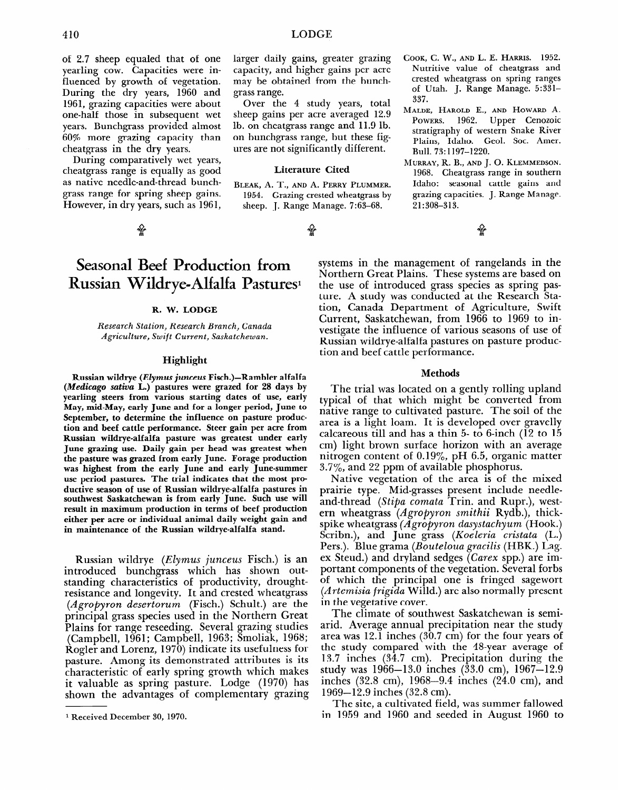# **Seasonal Beef Production from Russian Wildrye-Alfalfa Pastures**

#### **R. W. LODGE**

*Research Station, Research Branch, Canada Agriculture, Swift Current, Saskatchewan.* 

### **Highlight**

**Russian wildrye** *(Elymus junceus Fisch.)*-Rambler alfalfa *(Medicago sativa* **L.) pastures were grazed for 28 days by yearling steers from various starting dates of use, early May, mid-May, early June and for a longer period, June to September, to determine the influence on pasture production and beef cattle performance. Steer gain per acre from Russian wildrye-alfalfa pasture was greatest under early June grazing use. Daily gain per head was greatest when the pasture was grazed from early June. Forage production was-highest from the early June and early June-summer use period pastures. The trial indicates that the most productive season of use of Russian wildrye-alfalfa pastures in southwest Saskatchewan is from early June. Such use will result in maximum production in terms of beef production either per acre or individual animal daily weight gain and in maintenance of the Russian wildrye-alfalfa stand.** 

Russian wildrye *(Elymus junceus* Fisch.) is an introduced bunchgrass which has shown outstanding characteristics of productivity, droughtresistance and longevity. It and crested wheatgrass *(Agropyron desertorum* (Fisch.) Schult.) are the principal grass species used in the Northern Great Plains for range reseeding. Several grazing studies (Campbell, 1961; Campbell, 1963; Smoliak, 1968; Rogler and Lorenz, 1970) indicate its usefulness for pasture. Among its demonstrated attributes is its characteristic of early spring growth which makes it valuable as spring pasture. Lodge (1970) has shown the advantages of complementary grazing systems in the management of rangelands in the Northern Great Plains. These systems are based on the use of introduced grass species as spring pasture. A study was conducted at the Research Station, Canada Department of Agriculture, Swift Current, Saskatchewan, from 1966 to 1969 to investigate the influence of various seasons of use of Russian wildrye-alfalfa pastures on pasture production and beef cattle performance.

## **Methods**

The trial was located on a gently rolling upland typical of that which might be converted from native range to cultivated pasture. The soil of the area is a light loam. It is developed over gravelly calcareous till and has a thin 5- to 6-inch (12 to 15 cm) light brown surface horizon with an average nitrogen content of 0.19%, pH 6.5, organic matter 3.7%, and 22 ppm of available phosphorus.

Native vegetation of the area is of the mixed prairie type. Mid-grasses present include needleand-thread *(Stipa comata* Trin. and Rupr.), western wheatgrass *(Agropyron smithii* Rydb.), thickspike wheatgrass *(Agropyron dasystachyum (Hook.)* Scribn.), and June grass *(Koeleria cristata* (L.) Pers.). Blue grama *(Bouteloua gracilis* (HBK.) Lag. ex Steud.) and dryland sedges *(Carax* spp.) are important components of the vegetation. Several forbs of which the principal one is fringed sagewort *(Artemisia frigida* Willd.) are also normally present in the vegetative cover.

The climate of southwest Saskatchewan is semiarid. Average annual precipitation near the study area was 12.1 inches (30.7 cm) for the four years of the study compared with the 48-year average of 13.7 inches (34.7 cm). Precipitation during the study was 1966-13.0 inches (33.0 cm), 1967-12.9 inches (32.8 cm), 1968-9.4 inches (24.0 cm), and 1969-12.9 inches (32.8 cm).

The site, a cultivated field, was summer fallowed in 1959 and 1960 and seeded in August 1960 to

**l Received December** *30, 1970.*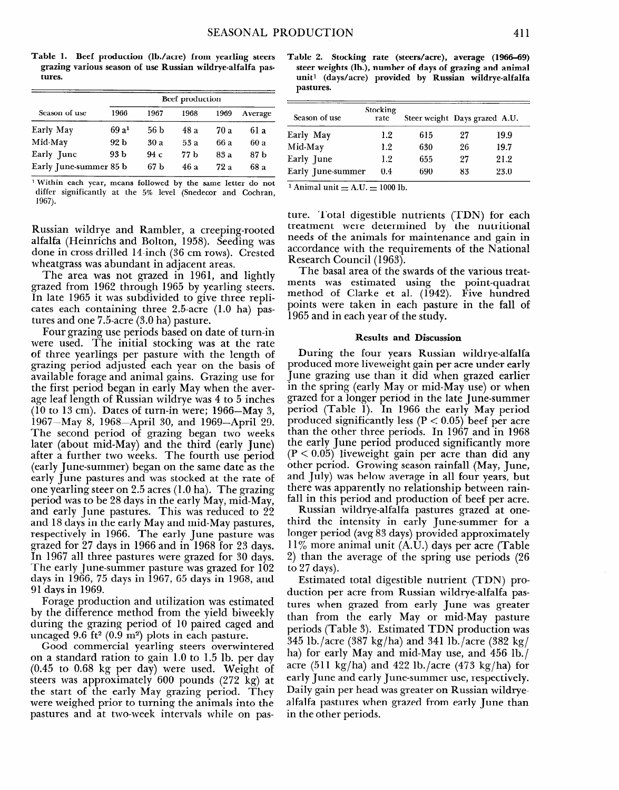**Table 1. Beef production (lb./acre) from yearling steers grazing various season of use Russian wildrye-alfalfa pastures.** 

|                        |                  | Beef production |      |      |         |  |  |  |  |
|------------------------|------------------|-----------------|------|------|---------|--|--|--|--|
| Season of use          | 1966             | 1967            | 1968 | 1969 | Average |  |  |  |  |
| Early May              | 69a <sup>1</sup> | 56 b            | 48 a | 70 a | 61 a    |  |  |  |  |
| Mid-May                | 92 <sub>b</sub>  | 30 a            | 53 a | 66 а | 60 a    |  |  |  |  |
| Early June             | 93 b             | 94c             | 77 b | 83 a | 87 Ь    |  |  |  |  |
| Early June-summer 85 b |                  | 67 h            | 46 a | 72a  | 68 a    |  |  |  |  |

**l Within each year, means followed by the same letter do not differ significantly at the 5% level (Snedecor and Cochran, 1967).** 

Russian wildrye and Rambler, a creeping-rooted alfalfa (Heinrichs and Bolton, 1958). Seeding was done in cross-drilled 14-inch (36 cm rows). Crested wheatgrass was abundant in adjacent areas.

The area was not grazed in 1961, and lightly grazed from 1962 through 1965 by yearling steers. In late 1965 it was subdivided to give three replicates each containing three 2.5-acre (1.0 ha) pastures and one 7.5-acre (3.0 ha) pasture.

Four grazing use periods based on date of turn-in were used. The initial stocking was at the rate of three yearlings per pasture with the length of grazing period adjusted each year on the basis of available forage and animal gains. Grazing use for the first period began in early May when the average leaf length of Russian wildrye was 4 to 5 inches (10 to 13 cm). Dates of turn-in were;  $1966 - May$  3, 1967-May 8, 1968-April 30, and 1969-April 29. The second period of grazing began two weeks later (about mid-May) and the third (early June) after a further two weeks. The fourth use period (early June-summer) began on the same date as the early June pastures and was stocked at the rate of one yearling steer on 2.5 acres  $(1.0 \text{ ha})$ . The grazing period was to be 28 days in the early May, mid-May, and early June pastures. This was reduced to 22 and 18 days in the early May and mid-May pastures, respectively in 1966. The early June pasture was grazed for 27 days in 1966 and in 1968 for 23 days. In 1967 all three pastures were grazed for 30 days. The early June-summer pasture was grazed for 102 days in 1966, 75 days in 1967, 65 days in 1968, and 91 days in 1969.

Forage production and utilization was estimated by the difference method from the yield biweekly during the grazing period of 10 paired caged and uncaged 9.6 ft<sup>2</sup> (0.9 m<sup>2</sup>) plots in each pasture.

Good commercial yearling steers overwintered on a standard ration to gain 1.0 to 1.5 lb. per day (0.45 to 0.68 kg per day) were used. Weight of steers was approximately  $600$  pounds  $(272 \text{ kg})$  at the start of the early May grazing period. They were weighed prior to turning the animals into the pastures and at two-week intervals while on pas-

**Table 2. Stocking rate (steers/acre), average (1966-69) steer weights (lb.), number of days of grazing and animal unit1 (days/acre) provided by Russian wildrye-alfalfa pastures.** 

| Season of use     | Stocking<br>rate |     | Steer weight Days grazed A.U. |      |  |
|-------------------|------------------|-----|-------------------------------|------|--|
| Early May         | 1.2              | 615 | 27                            | 19.9 |  |
| Mid-May           | 1.2              | 630 | 26                            | 19.7 |  |
| Early June        | 1.2              | 655 | 27                            | 21.2 |  |
| Early June-summer | 0.4              | 690 | 83                            | 23.0 |  |

<sup>1</sup> Animal unit  $=$  A.U.  $=$  1000 lb.

ture. Total digestible nutrients (TDN) for each treatment were determined by the nutritional needs of the animals for maintenance and gain in accordance with the requirements of the National Research Council (1963).

The basal area of the swards of the various treatments was estimated using the point-quadrat method of Clarke et al. (1942). Five hundred points were taken in each pasture in the fall of 1965 and in each year of the study.

#### **Results and Discussion**

During the four years Russian wildrye-alfalfa produced more liveweight gain per acre under early June grazing use than it did when grazed earlier in the spring (early May or mid-May use) or when grazed for a longer period in the late June-summer period (Table 1). In 1966 the early May period produced significantly less ( $P < 0.05$ ) beef per acre than the other three periods. In 1967 and in 1968 the early June period produced significantly more  $(P < 0.05)$  liveweight gain per acre than did any other period. Growing season rainfall (May, June, and July) was below average in all four years, but there was apparently no relationship between rainfall in this period and production of beef per acre.

Russian wildrye-alfalfa pastures grazed at onethird the intensity in early June-summer for a longer period (avg 83 days) provided approximately 11% more animal unit (A.U.) days per acre (Table 2) than the average of the spring use periods (26 to 27 days).

Estimated total digestible nutrient (TDN) production per acre from Russian wildrye-alfalfa pastures when grazed from early June was greater than from the early May or mid-May pasture periods (Table 3). Estimated TDN production was 345 lb./acre (387 kg/ha) and 341 lb./acre (382 kg/ ha) for early May and mid-May use, and 456 lb./ acre (511 kg/ha) and 422 lb./acre (473 kg/ha) for early June and early June-summer use, respectively. Daily gain per head was greater on Russian wildryealfalfa pastures when grazed from early June than in the other periods.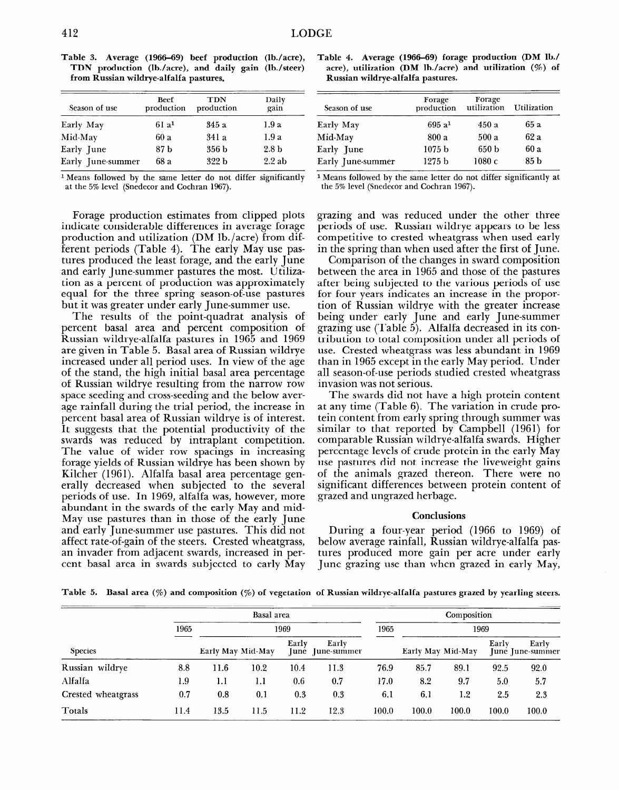|                                        |  |  | Table 3. Average (1966–69) beef production (lb./acre), |
|----------------------------------------|--|--|--------------------------------------------------------|
|                                        |  |  | TDN production (lb./acre), and daily gain (lb./steer)  |
| from Russian wildrye-alfalfa pastures. |  |  |                                                        |

| Season of use     | <b>Beef</b><br>production | <b>TDN</b><br>production | Daily<br>gain    |  |
|-------------------|---------------------------|--------------------------|------------------|--|
| Early May         | 61a <sup>1</sup>          | 345 a                    | 1.9 a            |  |
| Mid-May           | 60 a                      | 341 a                    | 1.9a             |  |
| Early June        | 87 b                      | 356 b                    | 2.8 <sub>b</sub> |  |
| Early June-summer | 68 a                      | 322 <sub>b</sub>         | 2.2ab            |  |

**1 Means followed by the same letter do not differ significantly at the 5% level (Snedecor and Cochran 1967).** 

Forage production estimates from clipped plots indicate considerable differences in average forage production and utilization (DM lb./acre) from different periods (Table 4). The early May use pastures produced the least forage, and the early June and early June-summer pastures the most. Utilization as a percent of production was approximately equal for the three spring season-of-use pastures but it was greater under early June-summer use.

The results of the point-quadrat analysis of percent basal area and percent composition of Russian wildrye-alfalfa pastures in 1965 and 1969 are given in Table 5. Basal area of Russian wildrye increased under all period uses. In view of the age of the stand, the high initial basal area percentage of Russian wildrye resulting from the narrow row space seeding and cross-seeding and the below average rainfall during the trial period, the increase in percent basal area of Russian wildrye is of interest. It suggests that the potential productivity of the swards was reduced by intraplant competition. The value of wider row spacings in increasing forage yields of Russian wildrye has been shown by Kilcher (1961). Alfalfa basal area percentage generally decreased when subjected to the several periods of use. In 1969, alfalfa was, however, more abundant in the swards of the early May and mid-May use pastures than in those of the early June and early June-summer use pastures. This did not affect rate-of-gain of the steers. Crested wheatgrass, an invader from adjacent swards, increased in percent basal area in swards subjected to early May

**Table 4. Average (1966-69) forage production (DM lb./ acre), utilization (DM lb./acre) and utilization (%) of Russian wildrye-alfalfa pastures.** 

| Season of use     | Forage<br>production | Forage<br>utilization | Utilization     |  |
|-------------------|----------------------|-----------------------|-----------------|--|
| Early May         | 695a1                | 450 a                 | 65 a            |  |
| Mid-May           | 800 a                | 500 a                 | 62 a            |  |
| Early June        | 1075 <sub>b</sub>    | 650 <sub>b</sub>      | 60 a            |  |
| Early June-summer | 1275 <sub>b</sub>    | 1080c                 | 85 <sub>b</sub> |  |

**1 Means followed by the same letter do not differ significantly at the 5% level (Snedecor and Cochran 1967).** 

grazing and was reduced under the other three periods of use. Russian wildrye appears to be less competitive to crested wheatgrass when used early in the spring than when used after the first of June.

Comparison of the changes in sward composition between the area in 1965 and those of the pastures after being subjected to the various periods of use for four years indicates an increase in the proportion of Russian wildrye with the greater increase being under early June and early June-summer grazing use (Table 5). Alfalfa decreased in its contribution to total composition under all periods of use. Crested wheatgrass was less abundant in 1969 than in 1965 except in the early May period. Under all season-of-use periods studied crested wheatgrass invasion was not serious.

The swards did not have a high protein content at any time (Table 6). The variation in crude protein content from early spring through summer was similar to that reported by Campbell (1961) for comparable Russian wildrye-alfalfa swards. Higher percentage levels of crude protein in the early May use pastures did not increase the liveweight gains of the animals grazed thereon. There were no significant differences between protein content of grazed and ungrazed herbage.

#### **Conclusions**

During a four-year period (1966 to 1969) of below average rainfall, Russian wildrye-alfalfa pastures produced more gain per acre under early June grazing use than when grazed in early May,

**Table 5. Basal area (%) and composition (%) of vegetation of Russian wildrye-alfalfa pastures grazed by yearling steers.** 

| <b>Species</b>     | Basal area |                   |      |       |                           |       | Composition |                   |       |                           |  |  |
|--------------------|------------|-------------------|------|-------|---------------------------|-------|-------------|-------------------|-------|---------------------------|--|--|
|                    | 1965       |                   |      | 1969  |                           | 1965  | 1969        |                   |       |                           |  |  |
|                    |            | Early May Mid-May |      | Early | Early<br>June June-summer |       |             | Early May Mid-May | Early | Early<br>June June-summer |  |  |
| Russian wildrye    | 8.8        | 11.6              | 10.2 | 10.4  | 11.3                      | 76.9  | 85.7        | 89.1              | 92.5  | 92.0                      |  |  |
| Alfalfa            | 1.9        | 1.1               | 1.1  | 0.6   | 0.7                       | 17.0  | 8.2         | 9.7               | 5.0   | 5.7                       |  |  |
| Crested wheatgrass | 0.7        | 0.8               | 0.1  | 0.3   | 0.3                       | 6.1   | 6.1         | 1.2               | 2.5   | 2.3                       |  |  |
| Totals             | 11.4       | 13.5              | 11.5 | 11.2  | 12.3                      | 100.0 | 100.0       | 100.0             | 100.0 | 100.0                     |  |  |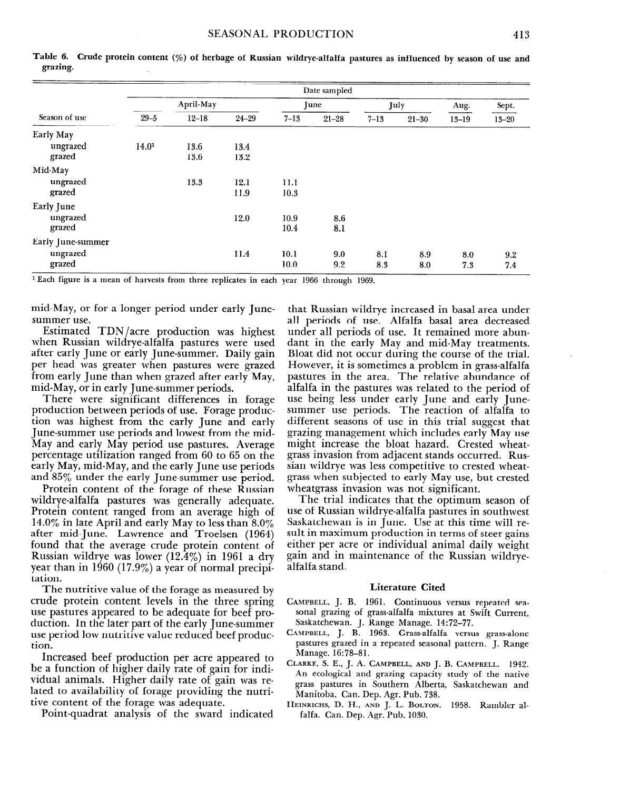|                   |           |           |           |          | Date sampled |          |           |           |           |
|-------------------|-----------|-----------|-----------|----------|--------------|----------|-----------|-----------|-----------|
| Season of use     | April-May |           |           | June     |              | July     |           | Aug.      | Sept.     |
|                   | $29 - 5$  | $12 - 18$ | $24 - 29$ | $7 - 13$ | $21 - 28$    | $7 - 13$ | $21 - 30$ | $13 - 19$ | $13 - 20$ |
| Early May         |           |           |           |          |              |          |           |           |           |
| ungrazed          | 14.01     | 13.6      | 13.4      |          |              |          |           |           |           |
| grazed            |           | 13.6      | 13.2      |          |              |          |           |           |           |
| Mid-May           |           |           |           |          |              |          |           |           |           |
| ungrazed          |           | 13.3      | 12.1      | 11.1     |              |          |           |           |           |
| grazed            |           |           | 11.9      | 10.3     |              |          |           |           |           |
| Early June        |           |           |           |          |              |          |           |           |           |
| ungrazed          |           |           | 12.0      | 10.9     | 8.6          |          |           |           |           |
| grazed            |           |           |           | 10.4     | 8.1          |          |           |           |           |
| Early June-summer |           |           |           |          |              |          |           |           |           |
| ungrazed          |           |           | 11.4      | 10.1     | 9.0          | 8.1      | 8.9       | 8.0       | 9.2       |
| grazed            |           |           |           | 10.0     | 9.2          | 8.3      | 8.0       | 7.3       | 7.4       |

**Table 6.** Crude protein content (%) of herbage of Russian wildrye-alfalfa pastures as influenced by season of use and **grazing.** 

**1 Each figure is a mean of harvests from three replicates in each year 1966 through 1969.** 

mid-May, or for a longer period under early Junesummer use.

Estimated TDN /acre production was highest when Russian wildrye-alfalfa pastures were used after early June or early June-summer. Daily gain per head was greater when pastures were grazed from early June than when grazed after early May, mid-May, or in early June-summer periods.

There were significant differences in forage production between periods of use. Forage production was highest from the early June and early June-summer use periods and lowest from the mid-May and early May period use pastures. Average percentage utilization ranged from 60 to 65 on the early May, mid-May, and the early June use periods and 85% under the early June-summer use period.

Protein content of the forage of these Russian wildrye-alfalfa pastures was generally adequate. Protein content ranged from an average high of 14.0% in late April and early May to less than 8.0% after mid-June. Lawrence and Troelsen (1964) found that the average crude protein content of Russian wildrye was lower  $(12.4\%)$  in 1961 a dry year than in 1960 (17.9%) a year of normal precipitation.

The nutritive value of the forage as measured by crude protein content levels in the three spring use pastures appeared to be adequate for beef production. In the later part of the early June-summer use period low nutritive value reduced beef production.

Increased beef production per acre appeared to be a function of higher daily rate of gain for individual animals. Higher daily rate of gain was related to availability of forage providing the nutritive content of the forage was adequate.

Point-quadrat analysis of the sward indicated

that Russian wildrye increased in basal area under all periods of use. Alfalfa basal area decreased under all periods of use. It remained more abundant in the early May and mid-May treatments. Bloat did not occur during the course of the trial. However, it is sometimes a problem in grass-alfalfa pastures in the area. The relative abundance of alfalfa in the pastures was related to the period of use being less under early June and early Junesummer use periods. The reaction of alfalfa to different seasons of use in this trial suggest that grazing management which includes early May use might increase the bloat hazard. Crested wheatgrass invasion from adjacent stands occurred. Russian wildrye was less competitive to crested wheatgrass when subjected to early May use, but crested wheatgrass invasion was not significant.

The trial indicates that the optimum season of use of Russian wildrye-alfalfa pastures in southwest Saskatchewan is in June. Use at this time will result in maximum production in terms of steer gains either per acre or individual animal daily weight gain and in maintenance of the Russian wildryealfalfa stand.

#### Literature Cited

- **CAMPBELL, J. B. 1961. Continuous versus repeated seasonal grazing of grass-alfalfa mixtures at Swift Current, Saskatchewan. J. Range Manage. 14:72-77.**
- **CAMPBELL, J. B. 1963. Grass-alfalfa versus grass-alone pastures grazed in a repeated seasonal pattern. J. Range Manage. 16:78-81.**
- **CLARKE, S. E.,J. A. CAMPBELL, AND J. B. CAMPBELL. 1942. An ecological and grazing capacity study of the native grass pastures in Southern Alberta, Saskatchewan and Manitoba. Can. Dep. Agr. Pub. 738.**
- **HEINRICHS, D. H., AND J. L. BOLTON. 1958. Rambler alfalfa. Can. Dep. Agr. Pub. 1030.**